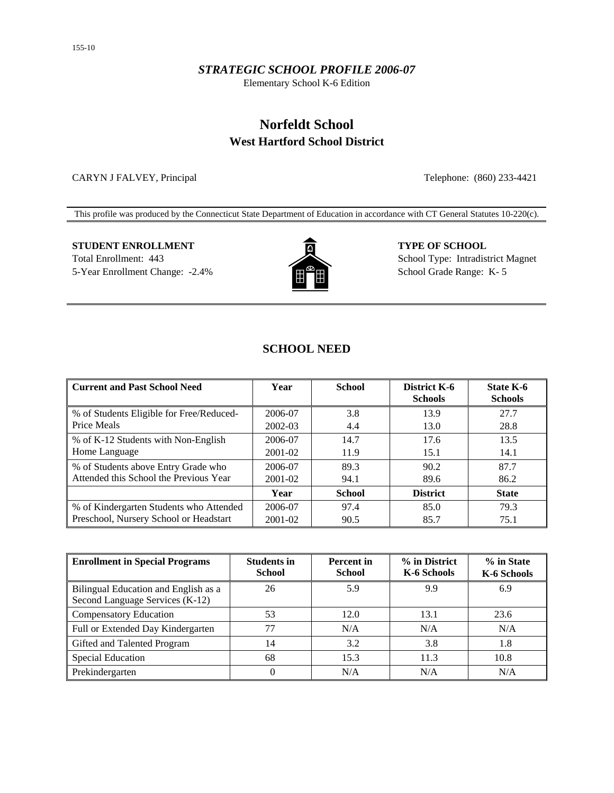#### *STRATEGIC SCHOOL PROFILE 2006-07*

Elementary School K-6 Edition

## **Norfeldt School West Hartford School District**

CARYN J FALVEY, Principal Telephone: (860) 233-4421

This profile was produced by the Connecticut State Department of Education in accordance with CT General Statutes 10-220(c).

# **STUDENT ENROLLMENT TYPE OF SCHOOL**



Total Enrollment: 443 School Type: Intradistrict Magnet 5-Year Enrollment Change: -2.4% School Grade Range: K- 5

## **SCHOOL NEED**

| <b>Current and Past School Need</b>      | Year        | <b>School</b> | <b>District K-6</b><br><b>Schools</b> | State K-6<br><b>Schools</b> |
|------------------------------------------|-------------|---------------|---------------------------------------|-----------------------------|
| % of Students Eligible for Free/Reduced- | 2006-07     | 3.8           | 13.9                                  | 27.7                        |
| Price Meals                              | 2002-03     | 4.4           | 13.0                                  | 28.8                        |
| % of K-12 Students with Non-English      | 2006-07     | 14.7          | 17.6                                  | 13.5                        |
| Home Language                            | 2001-02     | 11.9          | 15.1                                  | 14.1                        |
| % of Students above Entry Grade who      | 2006-07     | 89.3          | 90.2                                  | 87.7                        |
| Attended this School the Previous Year   | 2001-02     | 94.1          | 89.6                                  | 86.2                        |
|                                          | Year        | <b>School</b> | <b>District</b>                       | <b>State</b>                |
| % of Kindergarten Students who Attended  | 2006-07     | 97.4          | 85.0                                  | 79.3                        |
| Preschool, Nursery School or Headstart   | $2001 - 02$ | 90.5          | 85.7                                  | 75.1                        |

| <b>Enrollment in Special Programs</b>                                   | <b>Students in</b><br><b>School</b> | <b>Percent</b> in<br><b>School</b> | % in District<br>K-6 Schools | % in State<br>K-6 Schools |
|-------------------------------------------------------------------------|-------------------------------------|------------------------------------|------------------------------|---------------------------|
| Bilingual Education and English as a<br>Second Language Services (K-12) | 26                                  | 5.9                                | 9.9                          | 6.9                       |
| <b>Compensatory Education</b>                                           | 53                                  | 12.0                               | 13.1                         | 23.6                      |
| Full or Extended Day Kindergarten                                       | 77                                  | N/A                                | N/A                          | N/A                       |
| Gifted and Talented Program                                             | 14                                  | 3.2                                | 3.8                          | 1.8                       |
| Special Education                                                       | 68                                  | 15.3                               | 11.3                         | 10.8                      |
| Prekindergarten                                                         | 0                                   | N/A                                | N/A                          | N/A                       |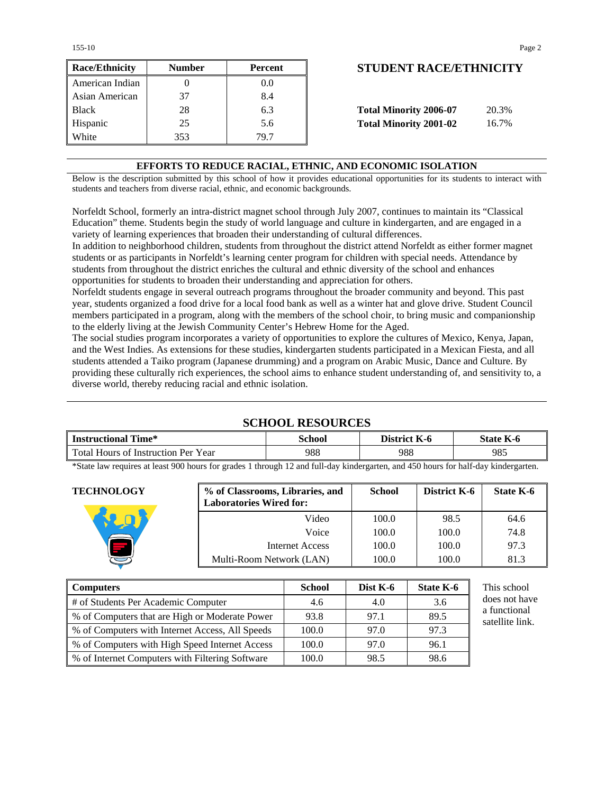155-10 Page 2

| <b>Race/Ethnicity</b> | <b>Number</b> | Percent | <b>STUDENT RACE/ETHNICIT</b>           |
|-----------------------|---------------|---------|----------------------------------------|
| American Indian       |               | 0.0     |                                        |
| Asian American        | 37            | 8.4     |                                        |
| <b>Black</b>          | 28            | 6.3     | <b>Total Minority 2006-07</b><br>20.3% |
| Hispanic              | 25            | 5.6     | <b>Total Minority 2001-02</b><br>16.7% |
| White                 | 353           | 79.7    |                                        |

## **Race/Ethnicity Number Percent STUDENT RACE/ETHNICITY**

| <b>Total Minority 2006-07</b> | 20.3% |
|-------------------------------|-------|
| <b>Total Minority 2001-02</b> | 16.7% |

#### **EFFORTS TO REDUCE RACIAL, ETHNIC, AND ECONOMIC ISOLATION**

Below is the description submitted by this school of how it provides educational opportunities for its students to interact with students and teachers from diverse racial, ethnic, and economic backgrounds.

Norfeldt School, formerly an intra-district magnet school through July 2007, continues to maintain its "Classical Education" theme. Students begin the study of world language and culture in kindergarten, and are engaged in a variety of learning experiences that broaden their understanding of cultural differences.

In addition to neighborhood children, students from throughout the district attend Norfeldt as either former magnet students or as participants in Norfeldt's learning center program for children with special needs. Attendance by students from throughout the district enriches the cultural and ethnic diversity of the school and enhances opportunities for students to broaden their understanding and appreciation for others.

Norfeldt students engage in several outreach programs throughout the broader community and beyond. This past year, students organized a food drive for a local food bank as well as a winter hat and glove drive. Student Council members participated in a program, along with the members of the school choir, to bring music and companionship to the elderly living at the Jewish Community Center's Hebrew Home for the Aged.

The social studies program incorporates a variety of opportunities to explore the cultures of Mexico, Kenya, Japan, and the West Indies. As extensions for these studies, kindergarten students participated in a Mexican Fiesta, and all students attended a Taiko program (Japanese drumming) and a program on Arabic Music, Dance and Culture. By providing these culturally rich experiences, the school aims to enhance student understanding of, and sensitivity to, a diverse world, thereby reducing racial and ethnic isolation.

## **SCHOOL RESOURCES**

| <b>Instructional Time*</b>                                | School             | District K-6 | State K-6 |
|-----------------------------------------------------------|--------------------|--------------|-----------|
| Total Hours of Instruction Per Year                       | 988                | 988          | 985       |
| $\sim$ $\sim$ $\sim$ $\sim$ $\sim$ $\sim$ $\sim$<br>.0001 | 1.0.11.1<br>$\sim$ | 1.4701       | $10-1$    |

\*State law requires at least 900 hours for grades 1 through 12 and full-day kindergarten, and 450 hours for half-day kindergarten.

| <b>TECHNOLOGY</b> | % of Classrooms, Libraries, and<br><b>Laboratories Wired for:</b> | <b>School</b> | District K-6 | State K-6 |
|-------------------|-------------------------------------------------------------------|---------------|--------------|-----------|
|                   | Video                                                             | 100.0         | 98.5         | 64.6      |
|                   | Voice                                                             | 100.0         | 100.0        | 74.8      |
|                   | Internet Access                                                   | 100.0         | 100.0        | 97.3      |
|                   | Multi-Room Network (LAN)                                          | 100.0         | 100.0        | 81.3      |
|                   |                                                                   |               |              |           |

| <b>Computers</b>                                  | <b>School</b> | Dist $K-6$ | State K-6 | This school                     |
|---------------------------------------------------|---------------|------------|-----------|---------------------------------|
| # of Students Per Academic Computer               | 4.6           | 4.0        | 3.6       | does not have                   |
| % of Computers that are High or Moderate Power    | 93.8          | 97.1       | 89.5      | a functional<br>satellite link. |
| % of Computers with Internet Access, All Speeds   | 100.0         | 97.0       | 97.3      |                                 |
| % of Computers with High Speed Internet Access    | 100.0         | 97.0       | 96.1      |                                 |
| ↓ % of Internet Computers with Filtering Software | 100.0         | 98.5       | 98.6      |                                 |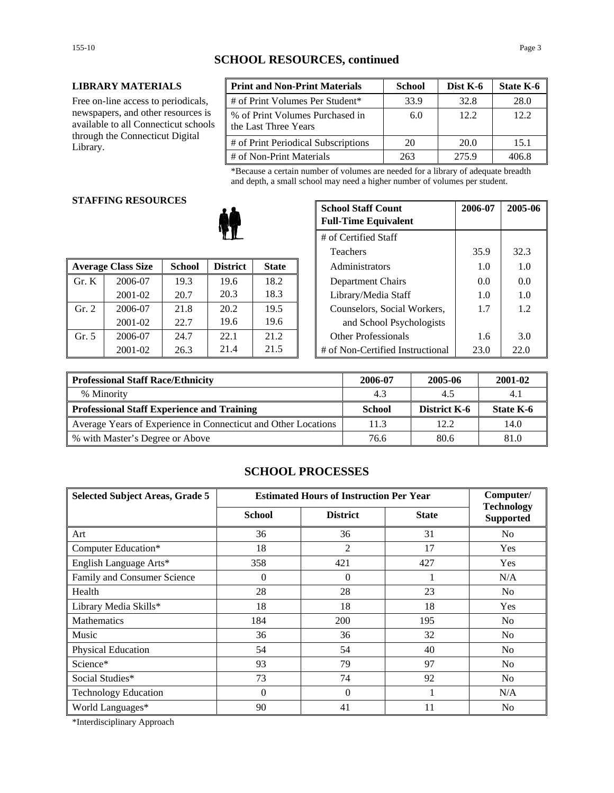## **SCHOOL RESOURCES, continued**

#### **LIBRARY MATERIALS**

Free on-line access to periodicals, newspapers, and other resources is available to all Connecticut schools through the Connecticut Digital Library.

| <b>Print and Non-Print Materials</b>                    | <b>School</b> | Dist K-6 | State K-6 |
|---------------------------------------------------------|---------------|----------|-----------|
| # of Print Volumes Per Student*                         | 33.9          | 32.8     | 28.0      |
| % of Print Volumes Purchased in<br>the Last Three Years | 6.0           | 12.2     | 12.2.     |
| # of Print Periodical Subscriptions                     | 20            | 20.0     | 15.1      |
| # of Non-Print Materials                                | 263           | 275.9    | 406.8     |

\*Because a certain number of volumes are needed for a library of adequate breadth and depth, a small school may need a higher number of volumes per student.

#### **STAFFING RESOURCES**

|       |                           |               |                 |              | 1 <u>cach</u> olo                | ---  |      |
|-------|---------------------------|---------------|-----------------|--------------|----------------------------------|------|------|
|       | <b>Average Class Size</b> | <b>School</b> | <b>District</b> | <b>State</b> | Administrators                   | 1.0  | 1.0  |
| Gr. K | 2006-07                   | 19.3          | 19.6            | 18.2         | Department Chairs                | 0.0  | 0.0  |
|       | 2001-02                   | 20.7          | 20.3            | 18.3         | Library/Media Staff              | 1.0  | 1.0  |
| Gr. 2 | 2006-07                   | 21.8          | 20.2            | 19.5         | Counselors, Social Workers,      | 1.7  | 1.2  |
|       | 2001-02                   | 22.7          | 19.6            | 19.6         | and School Psychologists         |      |      |
| Gr. 5 | 2006-07                   | 24.7          | 22.1            | 21.2         | <b>Other Professionals</b>       | 1.6  | 3.0  |
|       | 2001-02                   | 26.3          | 21.4            | 21.5         | # of Non-Certified Instructional | 23.0 | 22.0 |

| G KESOUKUES |               |                 | <b>School Staff Count</b><br><b>Full-Time Equivalent</b> | 2006-07 | 2005-06                          |      |      |
|-------------|---------------|-----------------|----------------------------------------------------------|---------|----------------------------------|------|------|
|             |               |                 |                                                          |         | # of Certified Staff             |      |      |
| Teachers    |               |                 |                                                          |         | 35.9                             | 32.3 |      |
| 'lass Size  | <b>School</b> | <b>District</b> | <b>State</b>                                             |         | Administrators                   | 1.0  | 1.0  |
| 2006-07     | 19.3          | 19.6            | 18.2                                                     |         | Department Chairs                | 0.0  | 0.0  |
| 2001-02     | 20.7          | 20.3            | 18.3                                                     |         | Library/Media Staff              | 1.0  | 1.0  |
| 2006-07     | 21.8          | 20.2            | 19.5                                                     |         | Counselors, Social Workers,      | 1.7  | 1.2  |
| 2001-02     | 22.7          | 19.6            | 19.6                                                     |         | and School Psychologists         |      |      |
| 2006-07     | 24.7          | 22.1            | 21.2                                                     |         | <b>Other Professionals</b>       | 1.6  | 3.0  |
| 2001-02     | 26.3          | 21.4            | 21.5                                                     |         | # of Non-Certified Instructional | 23.0 | 22.0 |

| <b>Professional Staff Race/Ethnicity</b>                       | 2006-07 | 2005-06             | 2001-02   |
|----------------------------------------------------------------|---------|---------------------|-----------|
| % Minority                                                     | 4.3     | 4.5                 | 4.1       |
| Professional Staff Experience and Training                     | School  | <b>District K-6</b> | State K-6 |
| Average Years of Experience in Connecticut and Other Locations | 11.3    | 12.2.               | 14.0      |
| ∥ % with Master's Degree or Above                              | 76.6    | 80.6                | 81.0      |

## **SCHOOL PROCESSES**

| <b>Selected Subject Areas, Grade 5</b> | <b>Estimated Hours of Instruction Per Year</b> |                 |              | Computer/                             |
|----------------------------------------|------------------------------------------------|-----------------|--------------|---------------------------------------|
|                                        | <b>School</b>                                  | <b>District</b> | <b>State</b> | <b>Technology</b><br><b>Supported</b> |
| Art                                    | 36                                             | 36              | 31           | N <sub>o</sub>                        |
| Computer Education*                    | 18                                             | 2               | 17           | <b>Yes</b>                            |
| English Language Arts*                 | 358                                            | 421             | 427          | Yes                                   |
| Family and Consumer Science            | $\overline{0}$                                 | $\theta$        |              | N/A                                   |
| Health                                 | 28                                             | 28              | 23           | N <sub>o</sub>                        |
| Library Media Skills*                  | 18                                             | 18              | 18           | Yes                                   |
| <b>Mathematics</b>                     | 184                                            | 200             | 195          | N <sub>o</sub>                        |
| Music                                  | 36                                             | 36              | 32           | N <sub>o</sub>                        |
| Physical Education                     | 54                                             | 54              | 40           | N <sub>o</sub>                        |
| Science*                               | 93                                             | 79              | 97           | N <sub>o</sub>                        |
| Social Studies*                        | 73                                             | 74              | 92           | N <sub>o</sub>                        |
| <b>Technology Education</b>            | $\Omega$                                       | $\Omega$        |              | N/A                                   |
| World Languages*                       | 90                                             | 41              | 11           | N <sub>0</sub>                        |

\*Interdisciplinary Approach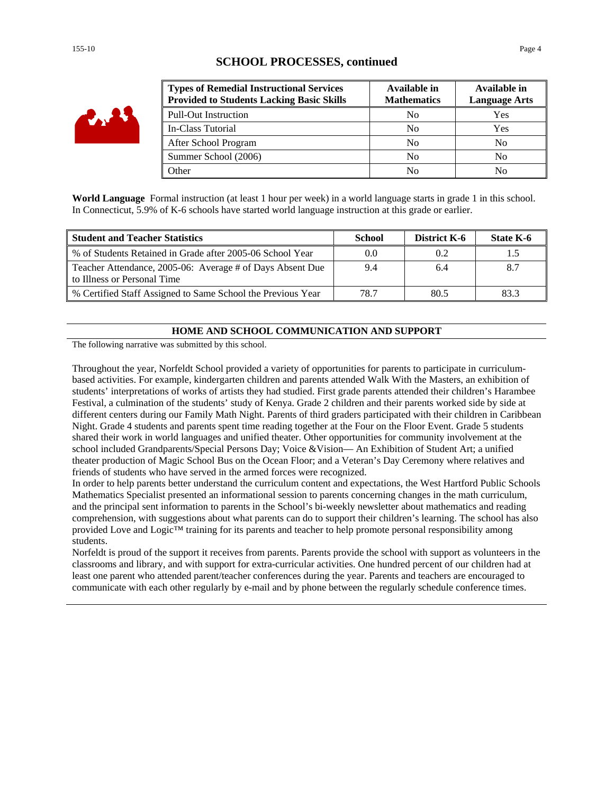| i av |
|------|
|------|

## **SCHOOL PROCESSES, continued**

| <b>Types of Remedial Instructional Services</b><br><b>Provided to Students Lacking Basic Skills</b> | Available in<br><b>Mathematics</b> | Available in<br><b>Language Arts</b> |
|-----------------------------------------------------------------------------------------------------|------------------------------------|--------------------------------------|
| <b>Pull-Out Instruction</b>                                                                         | N <sub>0</sub>                     | Yes                                  |
| In-Class Tutorial                                                                                   | N <sub>0</sub>                     | Yes                                  |
| After School Program                                                                                | N <sub>0</sub>                     | N <sub>0</sub>                       |
| Summer School (2006)                                                                                | N <sub>0</sub>                     | N <sub>0</sub>                       |
| Other                                                                                               | N <sub>0</sub>                     | No                                   |

**World Language** Formal instruction (at least 1 hour per week) in a world language starts in grade 1 in this school. In Connecticut, 5.9% of K-6 schools have started world language instruction at this grade or earlier.

| <b>Student and Teacher Statistics</b>                                                    | School | District K-6 | State K-6 |
|------------------------------------------------------------------------------------------|--------|--------------|-----------|
| % of Students Retained in Grade after 2005-06 School Year                                | 0.0    | 0.2          |           |
| Teacher Attendance, 2005-06: Average # of Days Absent Due<br>to Illness or Personal Time | 9.4    | 6.4          |           |
| % Certified Staff Assigned to Same School the Previous Year                              | 78.7   | 80.5         | 83.3      |

#### **HOME AND SCHOOL COMMUNICATION AND SUPPORT**

The following narrative was submitted by this school.

Throughout the year, Norfeldt School provided a variety of opportunities for parents to participate in curriculumbased activities. For example, kindergarten children and parents attended Walk With the Masters, an exhibition of students' interpretations of works of artists they had studied. First grade parents attended their children's Harambee Festival, a culmination of the students' study of Kenya. Grade 2 children and their parents worked side by side at different centers during our Family Math Night. Parents of third graders participated with their children in Caribbean Night. Grade 4 students and parents spent time reading together at the Four on the Floor Event. Grade 5 students shared their work in world languages and unified theater. Other opportunities for community involvement at the school included Grandparents/Special Persons Day; Voice &Vision— An Exhibition of Student Art; a unified theater production of Magic School Bus on the Ocean Floor; and a Veteran's Day Ceremony where relatives and friends of students who have served in the armed forces were recognized.

In order to help parents better understand the curriculum content and expectations, the West Hartford Public Schools Mathematics Specialist presented an informational session to parents concerning changes in the math curriculum, and the principal sent information to parents in the School's bi-weekly newsletter about mathematics and reading comprehension, with suggestions about what parents can do to support their children's learning. The school has also provided Love and Logic™ training for its parents and teacher to help promote personal responsibility among students.

Norfeldt is proud of the support it receives from parents. Parents provide the school with support as volunteers in the classrooms and library, and with support for extra-curricular activities. One hundred percent of our children had at least one parent who attended parent/teacher conferences during the year. Parents and teachers are encouraged to communicate with each other regularly by e-mail and by phone between the regularly schedule conference times.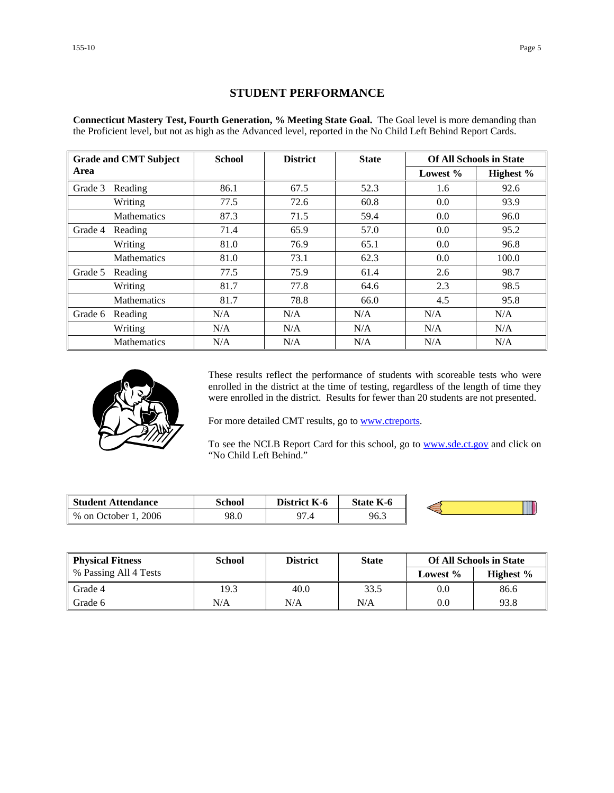## **STUDENT PERFORMANCE**

**Connecticut Mastery Test, Fourth Generation, % Meeting State Goal.** The Goal level is more demanding than the Proficient level, but not as high as the Advanced level, reported in the No Child Left Behind Report Cards.

|         | <b>Grade and CMT Subject</b> | <b>School</b> | <b>District</b> | <b>State</b> |          | <b>Of All Schools in State</b> |
|---------|------------------------------|---------------|-----------------|--------------|----------|--------------------------------|
| Area    |                              |               |                 |              | Lowest % | Highest %                      |
| Grade 3 | Reading                      | 86.1          | 67.5            | 52.3         | 1.6      | 92.6                           |
|         | Writing                      | 77.5          | 72.6            | 60.8         | 0.0      | 93.9                           |
|         | <b>Mathematics</b>           | 87.3          | 71.5            | 59.4         | 0.0      | 96.0                           |
| Grade 4 | Reading                      | 71.4          | 65.9            | 57.0         | 0.0      | 95.2                           |
|         | Writing                      | 81.0          | 76.9            | 65.1         | 0.0      | 96.8                           |
|         | <b>Mathematics</b>           | 81.0          | 73.1            | 62.3         | 0.0      | 100.0                          |
| Grade 5 | Reading                      | 77.5          | 75.9            | 61.4         | 2.6      | 98.7                           |
|         | Writing                      | 81.7          | 77.8            | 64.6         | 2.3      | 98.5                           |
|         | Mathematics                  | 81.7          | 78.8            | 66.0         | 4.5      | 95.8                           |
| Grade 6 | Reading                      | N/A           | N/A             | N/A          | N/A      | N/A                            |
|         | Writing                      | N/A           | N/A             | N/A          | N/A      | N/A                            |
|         | <b>Mathematics</b>           | N/A           | N/A             | N/A          | N/A      | N/A                            |



These results reflect the performance of students with scoreable tests who were enrolled in the district at the time of testing, regardless of the length of time they were enrolled in the district. Results for fewer than 20 students are not presented.

For more detailed CMT results, go to **www.ctreports**.

To see the NCLB Report Card for this school, go to **[www.sde.ct.gov](http://www.sde.ct.gov/)** and click on "No Child Left Behind."

| <b>Student Attendance</b>            | School | <b>District</b><br>K-6 | <b>State K-6</b> |  |
|--------------------------------------|--------|------------------------|------------------|--|
| 2006<br>$%$ on $\sqrt{ }$<br>October | 98.0   | $\Omega$<br>۰.,        | 96.3             |  |

| <b>Physical Fitness</b> | School | <b>District</b> | <b>State</b> |             | <b>Of All Schools in State</b> |
|-------------------------|--------|-----------------|--------------|-------------|--------------------------------|
| % Passing All 4 Tests   |        |                 |              | Lowest $\%$ | Highest $\%$                   |
| Grade 4                 | 19.3   | 40.0            | 33.5         | 0.0         | 86.6                           |
| Grade 6                 | N/A    | N/A             | N/A          | 0.0         | 93.8                           |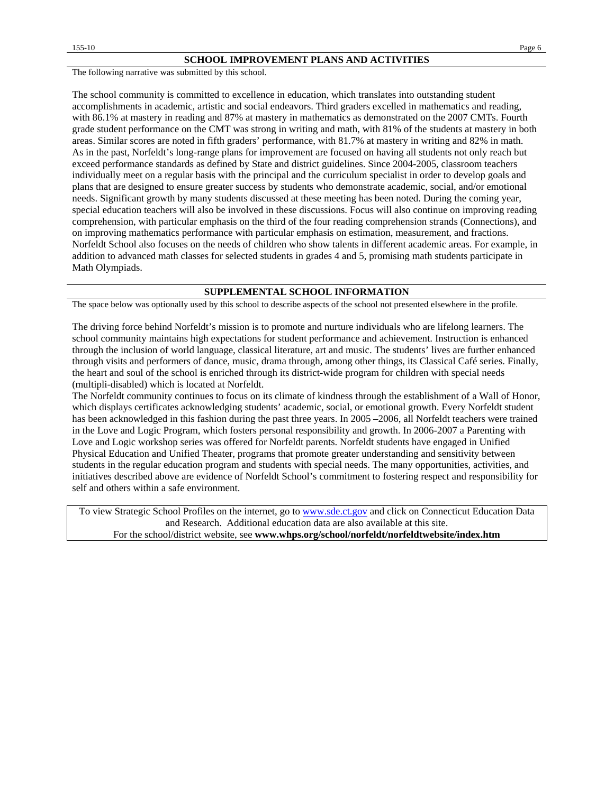#### **SCHOOL IMPROVEMENT PLANS AND ACTIVITIES**

The following narrative was submitted by this school.

The school community is committed to excellence in education, which translates into outstanding student accomplishments in academic, artistic and social endeavors. Third graders excelled in mathematics and reading, with 86.1% at mastery in reading and 87% at mastery in mathematics as demonstrated on the 2007 CMTs. Fourth grade student performance on the CMT was strong in writing and math, with 81% of the students at mastery in both areas. Similar scores are noted in fifth graders' performance, with 81.7% at mastery in writing and 82% in math. As in the past, Norfeldt's long-range plans for improvement are focused on having all students not only reach but exceed performance standards as defined by State and district guidelines. Since 2004-2005, classroom teachers individually meet on a regular basis with the principal and the curriculum specialist in order to develop goals and plans that are designed to ensure greater success by students who demonstrate academic, social, and/or emotional needs. Significant growth by many students discussed at these meeting has been noted. During the coming year, special education teachers will also be involved in these discussions. Focus will also continue on improving reading comprehension, with particular emphasis on the third of the four reading comprehension strands (Connections), and on improving mathematics performance with particular emphasis on estimation, measurement, and fractions. Norfeldt School also focuses on the needs of children who show talents in different academic areas. For example, in addition to advanced math classes for selected students in grades 4 and 5, promising math students participate in Math Olympiads.

#### **SUPPLEMENTAL SCHOOL INFORMATION**

The space below was optionally used by this school to describe aspects of the school not presented elsewhere in the profile.

The driving force behind Norfeldt's mission is to promote and nurture individuals who are lifelong learners. The school community maintains high expectations for student performance and achievement. Instruction is enhanced through the inclusion of world language, classical literature, art and music. The students' lives are further enhanced through visits and performers of dance, music, drama through, among other things, its Classical Café series. Finally, the heart and soul of the school is enriched through its district-wide program for children with special needs (multipli-disabled) which is located at Norfeldt.

The Norfeldt community continues to focus on its climate of kindness through the establishment of a Wall of Honor, which displays certificates acknowledging students' academic, social, or emotional growth. Every Norfeldt student has been acknowledged in this fashion during the past three years. In 2005 –2006, all Norfeldt teachers were trained in the Love and Logic Program, which fosters personal responsibility and growth. In 2006-2007 a Parenting with Love and Logic workshop series was offered for Norfeldt parents. Norfeldt students have engaged in Unified Physical Education and Unified Theater, programs that promote greater understanding and sensitivity between students in the regular education program and students with special needs. The many opportunities, activities, and initiatives described above are evidence of Norfeldt School's commitment to fostering respect and responsibility for self and others within a safe environment.

To view Strategic School Profiles on the internet, go to [www.sde.ct.gov](http://www.sde.ct.gov/) and click on Connecticut Education Data and Research. Additional education data are also available at this site. For the school/district website, see **www.whps.org/school/norfeldt/norfeldtwebsite/index.htm**